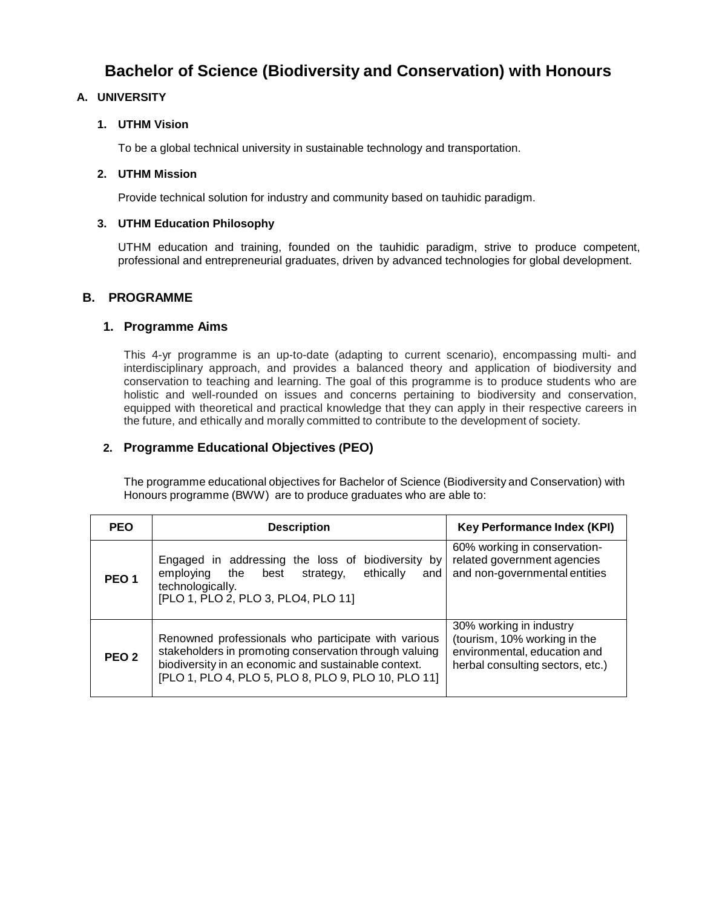# **Bachelor of Science (Biodiversity and Conservation) with Honours**

#### **A. UNIVERSITY**

#### **1. UTHM Vision**

To be a global technical university in sustainable technology and transportation.

#### **2. UTHM Mission**

Provide technical solution for industry and community based on tauhidic paradigm.

#### **3. UTHM Education Philosophy**

UTHM education and training, founded on the tauhidic paradigm, strive to produce competent, professional and entrepreneurial graduates, driven by advanced technologies for global development.

#### **B. PROGRAMME**

#### **1. Programme Aims**

This 4-yr programme is an up-to-date (adapting to current scenario), encompassing multi- and interdisciplinary approach, and provides a balanced theory and application of biodiversity and conservation to teaching and learning. The goal of this programme is to produce students who are holistic and well-rounded on issues and concerns pertaining to biodiversity and conservation, equipped with theoretical and practical knowledge that they can apply in their respective careers in the future, and ethically and morally committed to contribute to the development of society.

### **2. Programme Educational Objectives (PEO)**

The programme educational objectives for Bachelor of Science (Biodiversity and Conservation) with Honours programme (BWW) are to produce graduates who are able to:

| <b>PEO</b>       | <b>Description</b>                                                                                                                                                                                                           | <b>Key Performance Index (KPI)</b>                                                                                          |
|------------------|------------------------------------------------------------------------------------------------------------------------------------------------------------------------------------------------------------------------------|-----------------------------------------------------------------------------------------------------------------------------|
| PEO <sub>1</sub> | Engaged in addressing the loss of<br>biodiversity by<br>ethically<br>employing<br>the<br>best<br>strategy,<br>and<br>technologically.<br>[PLO 1, PLO 2, PLO 3, PLO4, PLO 11]                                                 | 60% working in conservation-<br>related government agencies<br>and non-governmental entities                                |
| PEO <sub>2</sub> | Renowned professionals who participate with various<br>stakeholders in promoting conservation through valuing<br>biodiversity in an economic and sustainable context.<br>[PLO 1, PLO 4, PLO 5, PLO 8, PLO 9, PLO 10, PLO 11] | 30% working in industry<br>(tourism, 10% working in the<br>environmental, education and<br>herbal consulting sectors, etc.) |